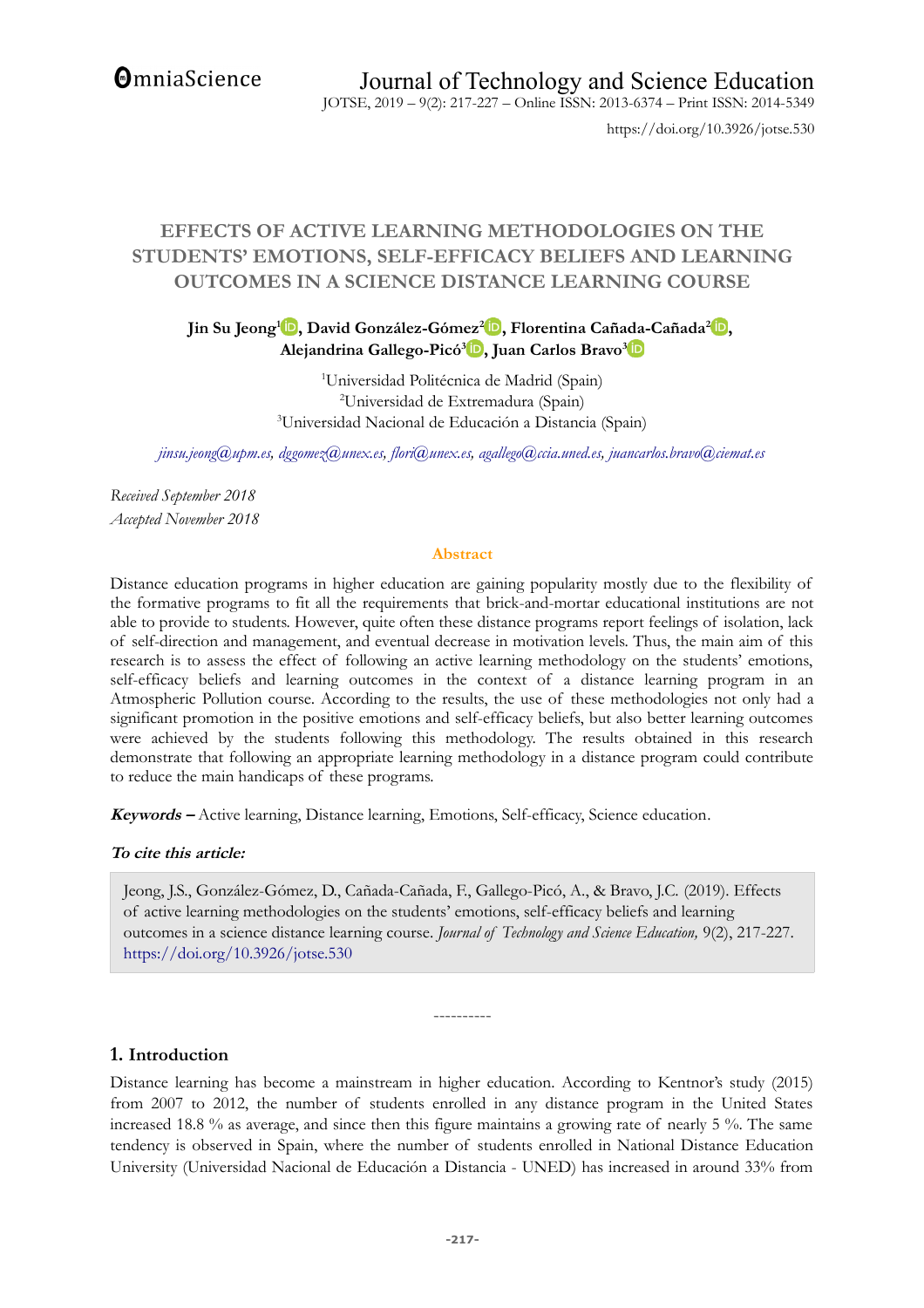**OmniaScience** 

https://doi.org/10.3926/jotse.530

# **EFFECTS OF ACTIVE LEARNING METHODOLOGIES ON THE STUDENTS' EMOTIONS, SELF-EFFICACY BELIEFS AND LEARNING OUTCOMES IN A SCIENCE DISTANCE LEARNING COURSE**

**Jin Su Jeong<sup>1</sup> [,](https://orcid.org/0000-0003-1370-0623) David González-Gómez<sup>2</sup> [,](https://orcid.org/0000-0002-3321-9290) Florentina Cañada-Cañada<sup>2</sup> [,](https://orcid.org/0000-0001-5544-0423) Alejandrina Gallego-Picó[3](https://orcid.org/0000-0002-9017-7381) , Juan Carlos Bravo[3](https://orcid.org/0000-0002-9961-4314)**

> <sup>1</sup>Universidad Politécnica de Madrid (Spain) <sup>2</sup>Universidad de Extremadura (Spain) <sup>3</sup>Universidad Nacional de Educación a Distancia (Spain)

*[jinsu.jeong@upm.es,](mailto:jinsu.jeong@upm.es) [dggomez@unex.es,](mailto:dggomez@unex.es) [flori@unex.es,](mailto:flori@unex.es) [agallego@ccia.uned.es,](mailto:agallego@ccia.uned.es) [juancarlos.bravo@ciemat.es](mailto:juancarlos.bravo@ciemat.es)*

*Received September 2018 Accepted November 2018*

#### **Abstract**

Distance education programs in higher education are gaining popularity mostly due to the flexibility of the formative programs to fit all the requirements that brick-and-mortar educational institutions are not able to provide to students. However, quite often these distance programs report feelings of isolation, lack of self-direction and management, and eventual decrease in motivation levels. Thus, the main aim of this research is to assess the effect of following an active learning methodology on the students' emotions, self-efficacy beliefs and learning outcomes in the context of a distance learning program in an Atmospheric Pollution course. According to the results, the use of these methodologies not only had a significant promotion in the positive emotions and self-efficacy beliefs, but also better learning outcomes were achieved by the students following this methodology. The results obtained in this research demonstrate that following an appropriate learning methodology in a distance program could contribute to reduce the main handicaps of these programs.

**Keywords –** Active learning, Distance learning, Emotions, Self-efficacy, Science education.

### **To cite this article:**

Jeong, J.S., González-Gómez, D., Cañada-Cañada, F., Gallego-Picó, A., & Bravo, J.C. (2019). Effects of active learning methodologies on the students' emotions, self-efficacy beliefs and learning outcomes in a science distance learning course. *Journal of Technology and Science Education,* 9(2), 217-227. <https://doi.org/10.3926/jotse.530>

----------

**1. Introduction**

Distance learning has become a mainstream in higher education. According to Kentnor's study (2015) from 2007 to 2012, the number of students enrolled in any distance program in the United States increased 18.8 % as average, and since then this figure maintains a growing rate of nearly 5 %. The same tendency is observed in Spain, where the number of students enrolled in National Distance Education University (Universidad Nacional de Educación a Distancia - UNED) has increased in around 33% from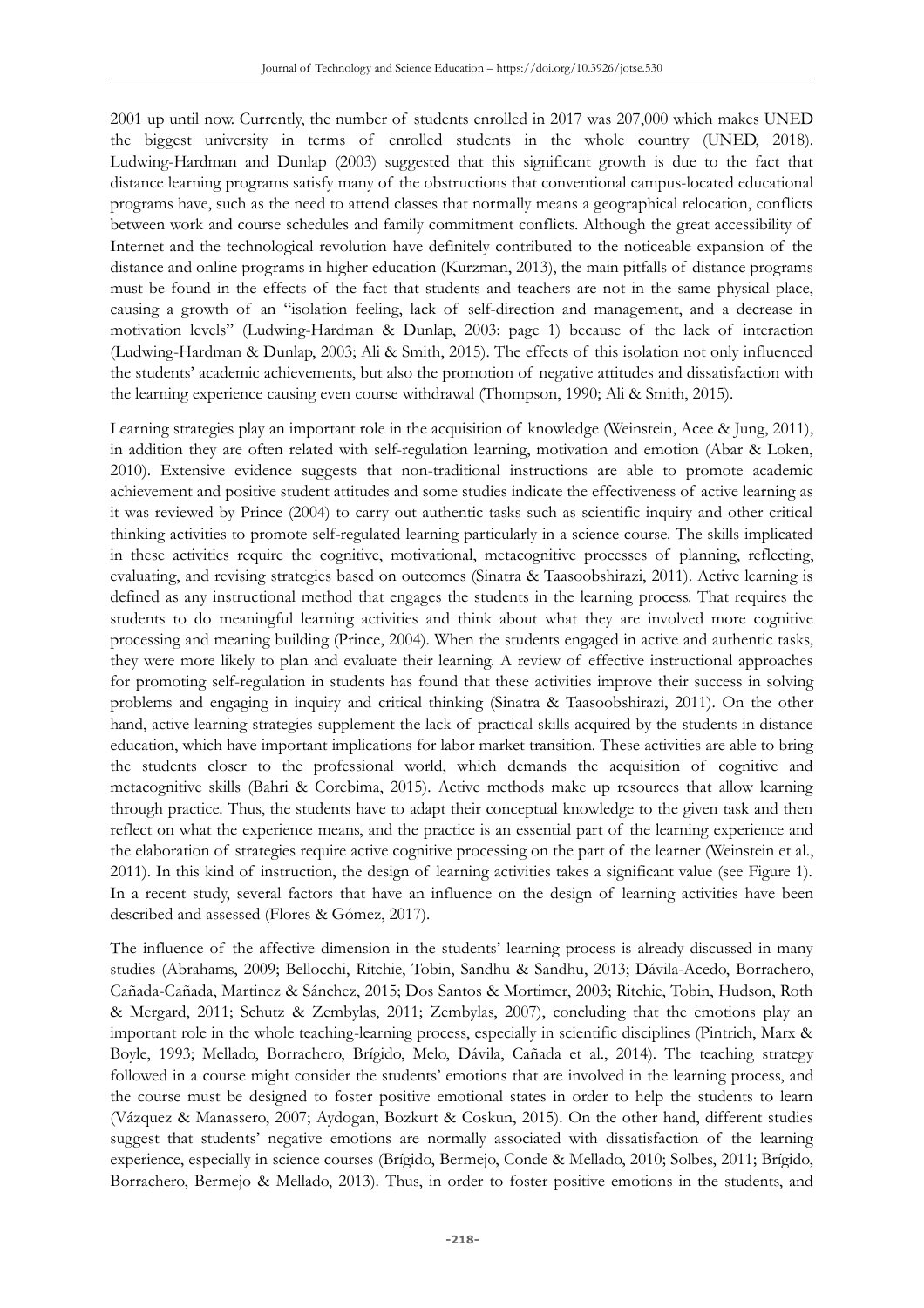2001 up until now. Currently, the number of students enrolled in 2017 was 207,000 which makes UNED the biggest university in terms of enrolled students in the whole country (UNED, 2018). Ludwing-Hardman and Dunlap (2003) suggested that this significant growth is due to the fact that distance learning programs satisfy many of the obstructions that conventional campus-located educational programs have, such as the need to attend classes that normally means a geographical relocation, conflicts between work and course schedules and family commitment conflicts. Although the great accessibility of Internet and the technological revolution have definitely contributed to the noticeable expansion of the distance and online programs in higher education (Kurzman, 2013), the main pitfalls of distance programs must be found in the effects of the fact that students and teachers are not in the same physical place, causing a growth of an "isolation feeling, lack of self-direction and management, and a decrease in motivation levels" (Ludwing-Hardman & Dunlap, 2003: page 1) because of the lack of interaction (Ludwing-Hardman & Dunlap, 2003; Ali & Smith, 2015). The effects of this isolation not only influenced the students' academic achievements, but also the promotion of negative attitudes and dissatisfaction with the learning experience causing even course withdrawal (Thompson, 1990; Ali & Smith, 2015).

Learning strategies play an important role in the acquisition of knowledge (Weinstein, Acee & Jung, 2011), in addition they are often related with self-regulation learning, motivation and emotion (Abar & Loken, 2010). Extensive evidence suggests that non-traditional instructions are able to promote academic achievement and positive student attitudes and some studies indicate the effectiveness of active learning as it was reviewed by Prince (2004) to carry out authentic tasks such as scientific inquiry and other critical thinking activities to promote self-regulated learning particularly in a science course. The skills implicated in these activities require the cognitive, motivational, metacognitive processes of planning, reflecting, evaluating, and revising strategies based on outcomes (Sinatra & Taasoobshirazi, 2011). Active learning is defined as any instructional method that engages the students in the learning process. That requires the students to do meaningful learning activities and think about what they are involved more cognitive processing and meaning building (Prince, 2004). When the students engaged in active and authentic tasks, they were more likely to plan and evaluate their learning. A review of effective instructional approaches for promoting self-regulation in students has found that these activities improve their success in solving problems and engaging in inquiry and critical thinking (Sinatra & Taasoobshirazi, 2011). On the other hand, active learning strategies supplement the lack of practical skills acquired by the students in distance education, which have important implications for labor market transition. These activities are able to bring the students closer to the professional world, which demands the acquisition of cognitive and metacognitive skills (Bahri & Corebima, 2015). Active methods make up resources that allow learning through practice. Thus, the students have to adapt their conceptual knowledge to the given task and then reflect on what the experience means, and the practice is an essential part of the learning experience and the elaboration of strategies require active cognitive processing on the part of the learner (Weinstein et al., 2011). In this kind of instruction, the design of learning activities takes a significant value (see Figure 1). In a recent study, several factors that have an influence on the design of learning activities have been described and assessed (Flores & Gómez, 2017).

The influence of the affective dimension in the students' learning process is already discussed in many studies (Abrahams, 2009; Bellocchi, Ritchie, Tobin, Sandhu & Sandhu, 2013; Dávila-Acedo, Borrachero, Cañada-Cañada, Martinez & Sánchez, 2015; Dos Santos & Mortimer, 2003; Ritchie, Tobin, Hudson, Roth & Mergard, 2011; Schutz & Zembylas, 2011; Zembylas, 2007), concluding that the emotions play an important role in the whole teaching-learning process, especially in scientific disciplines (Pintrich, Marx & Boyle, 1993; Mellado, Borrachero, Brígido, Melo, Dávila, Cañada et al., 2014). The teaching strategy followed in a course might consider the students' emotions that are involved in the learning process, and the course must be designed to foster positive emotional states in order to help the students to learn (Vázquez & Manassero, 2007; Aydogan, Bozkurt & Coskun, 2015). On the other hand, different studies suggest that students' negative emotions are normally associated with dissatisfaction of the learning experience, especially in science courses (Brígido, Bermejo, Conde & Mellado, 2010; Solbes, 2011; Brígido, Borrachero, Bermejo & Mellado, 2013). Thus, in order to foster positive emotions in the students, and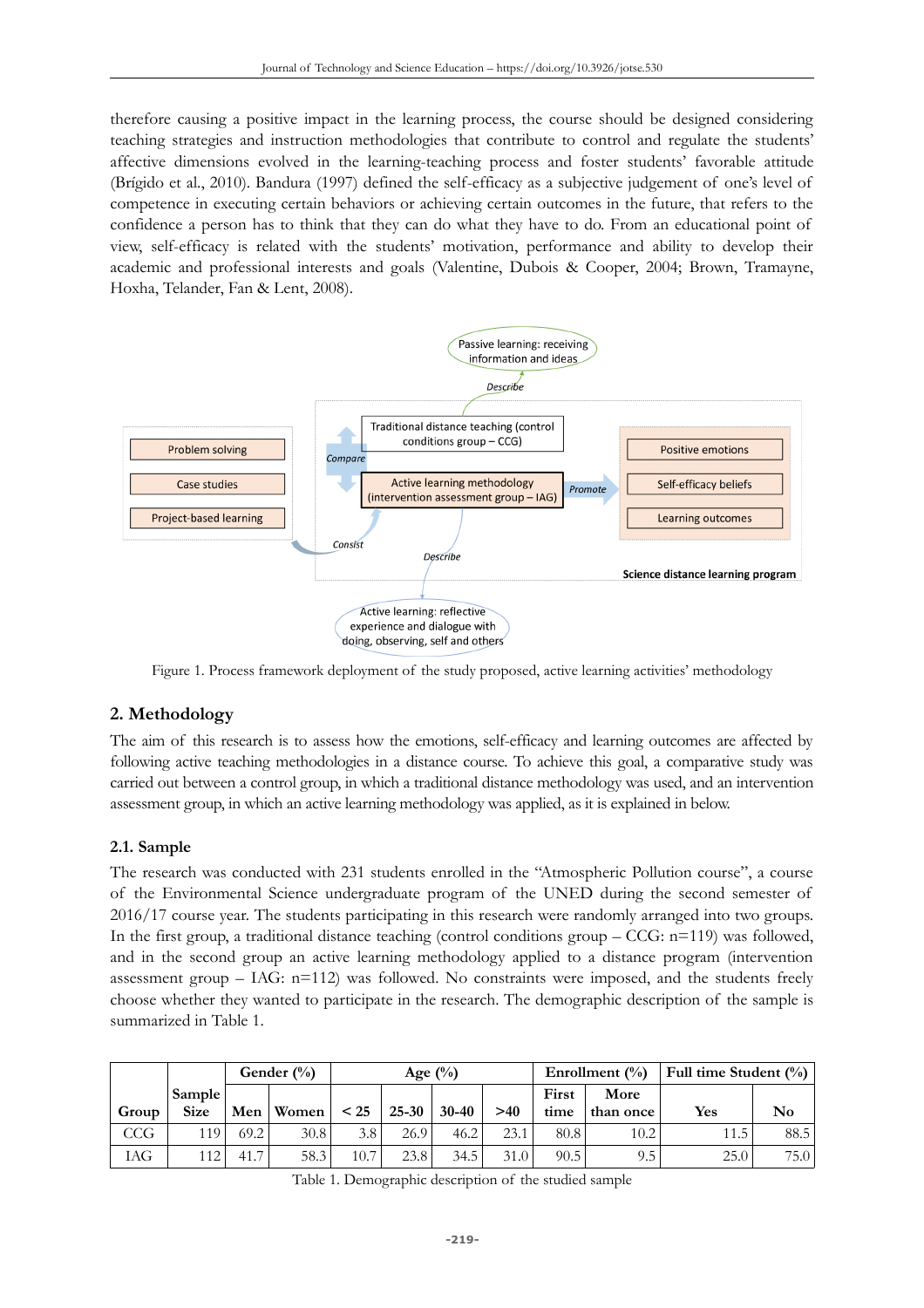therefore causing a positive impact in the learning process, the course should be designed considering teaching strategies and instruction methodologies that contribute to control and regulate the students' affective dimensions evolved in the learning-teaching process and foster students' favorable attitude (Brígido et al., 2010). Bandura (1997) defined the self-efficacy as a subjective judgement of one's level of competence in executing certain behaviors or achieving certain outcomes in the future, that refers to the confidence a person has to think that they can do what they have to do. From an educational point of view, self-efficacy is related with the students' motivation, performance and ability to develop their academic and professional interests and goals (Valentine, Dubois & Cooper, 2004; Brown, Tramayne, Hoxha, Telander, Fan & Lent, 2008).



Figure 1. Process framework deployment of the study proposed, active learning activities' methodology

# **2. Methodology**

The aim of this research is to assess how the emotions, self-efficacy and learning outcomes are affected by following active teaching methodologies in a distance course. To achieve this goal, a comparative study was carried out between a control group, in which a traditional distance methodology was used, and an intervention assessment group, in which an active learning methodology was applied, as it is explained in below.

### **2.1. Sample**

The research was conducted with 231 students enrolled in the "Atmospheric Pollution course", a course of the Environmental Science undergraduate program of the UNED during the second semester of 2016/17 course year. The students participating in this research were randomly arranged into two groups. In the first group, a traditional distance teaching (control conditions group  $-CCG$ : n=119) was followed, and in the second group an active learning methodology applied to a distance program (intervention assessment group – IAG: n=112) was followed. No constraints were imposed, and the students freely choose whether they wanted to participate in the research. The demographic description of the sample is summarized in Table 1.

|       |                              | Gender $(\%)$         |       | Age $(\%)$ |                   |           |      |                                    | Enrollment $(\% )$ | Full time Student $(\% )$ |      |
|-------|------------------------------|-----------------------|-------|------------|-------------------|-----------|------|------------------------------------|--------------------|---------------------------|------|
| Group | <b>Sample</b><br><b>Size</b> | Men                   | Women | < 25       | $25 - 30$         | $30 - 40$ | >40  | First<br>More<br>time<br>than once |                    | <b>Yes</b>                | No   |
| CCG   | 119.                         | 69.2                  | 30.8  | 3.8        | 26.9 <sub>1</sub> | 46.2      | 23.1 | 80.8                               | 10.2               | 11.5                      | 88.5 |
| IAG   | 112                          | $\overline{ }$<br>41. | 58.3  | 10.7       | 23.8              | 34.5      | 31.0 | 90.5                               | 9.5                | 25.0                      | 75.0 |

Table 1. Demographic description of the studied sample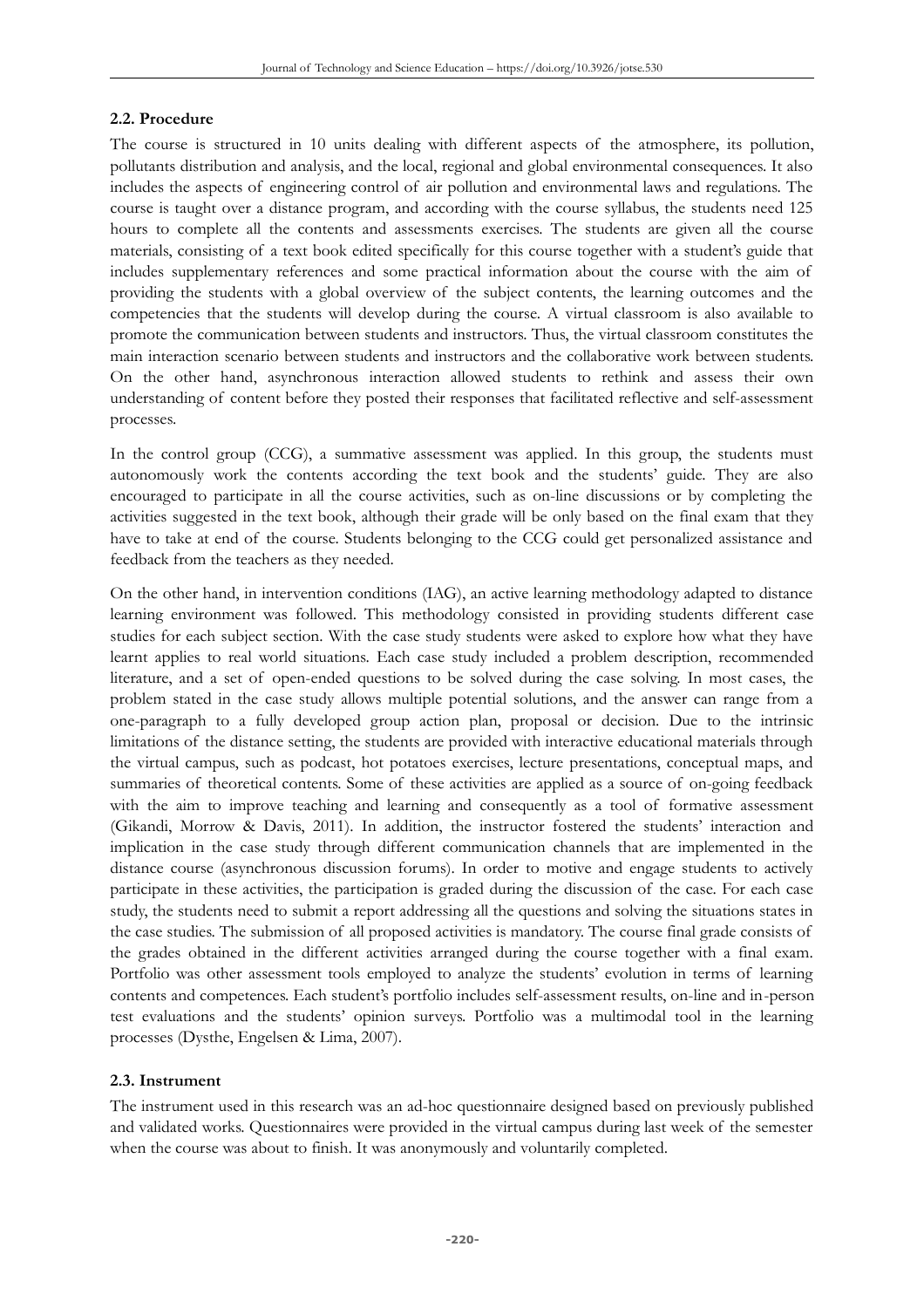#### **2.2. Procedure**

The course is structured in 10 units dealing with different aspects of the atmosphere, its pollution, pollutants distribution and analysis, and the local, regional and global environmental consequences. It also includes the aspects of engineering control of air pollution and environmental laws and regulations. The course is taught over a distance program, and according with the course syllabus, the students need 125 hours to complete all the contents and assessments exercises. The students are given all the course materials, consisting of a text book edited specifically for this course together with a student's guide that includes supplementary references and some practical information about the course with the aim of providing the students with a global overview of the subject contents, the learning outcomes and the competencies that the students will develop during the course. A virtual classroom is also available to promote the communication between students and instructors. Thus, the virtual classroom constitutes the main interaction scenario between students and instructors and the collaborative work between students. On the other hand, asynchronous interaction allowed students to rethink and assess their own understanding of content before they posted their responses that facilitated reflective and self-assessment processes.

In the control group (CCG), a summative assessment was applied. In this group, the students must autonomously work the contents according the text book and the students' guide. They are also encouraged to participate in all the course activities, such as on-line discussions or by completing the activities suggested in the text book, although their grade will be only based on the final exam that they have to take at end of the course. Students belonging to the CCG could get personalized assistance and feedback from the teachers as they needed.

On the other hand, in intervention conditions (IAG), an active learning methodology adapted to distance learning environment was followed. This methodology consisted in providing students different case studies for each subject section. With the case study students were asked to explore how what they have learnt applies to real world situations. Each case study included a problem description, recommended literature, and a set of open-ended questions to be solved during the case solving. In most cases, the problem stated in the case study allows multiple potential solutions, and the answer can range from a one-paragraph to a fully developed group action plan, proposal or decision. Due to the intrinsic limitations of the distance setting, the students are provided with interactive educational materials through the virtual campus, such as podcast, hot potatoes exercises, lecture presentations, conceptual maps, and summaries of theoretical contents. Some of these activities are applied as a source of on-going feedback with the aim to improve teaching and learning and consequently as a tool of formative assessment (Gikandi, Morrow & Davis, 2011). In addition, the instructor fostered the students' interaction and implication in the case study through different communication channels that are implemented in the distance course (asynchronous discussion forums). In order to motive and engage students to actively participate in these activities, the participation is graded during the discussion of the case. For each case study, the students need to submit a report addressing all the questions and solving the situations states in the case studies. The submission of all proposed activities is mandatory. The course final grade consists of the grades obtained in the different activities arranged during the course together with a final exam. Portfolio was other assessment tools employed to analyze the students' evolution in terms of learning contents and competences. Each student's portfolio includes self-assessment results, on-line and in-person test evaluations and the students' opinion surveys. Portfolio was a multimodal tool in the learning processes (Dysthe, Engelsen & Lima, 2007).

### **2.3. Instrument**

The instrument used in this research was an ad-hoc questionnaire designed based on previously published and validated works. Questionnaires were provided in the virtual campus during last week of the semester when the course was about to finish. It was anonymously and voluntarily completed.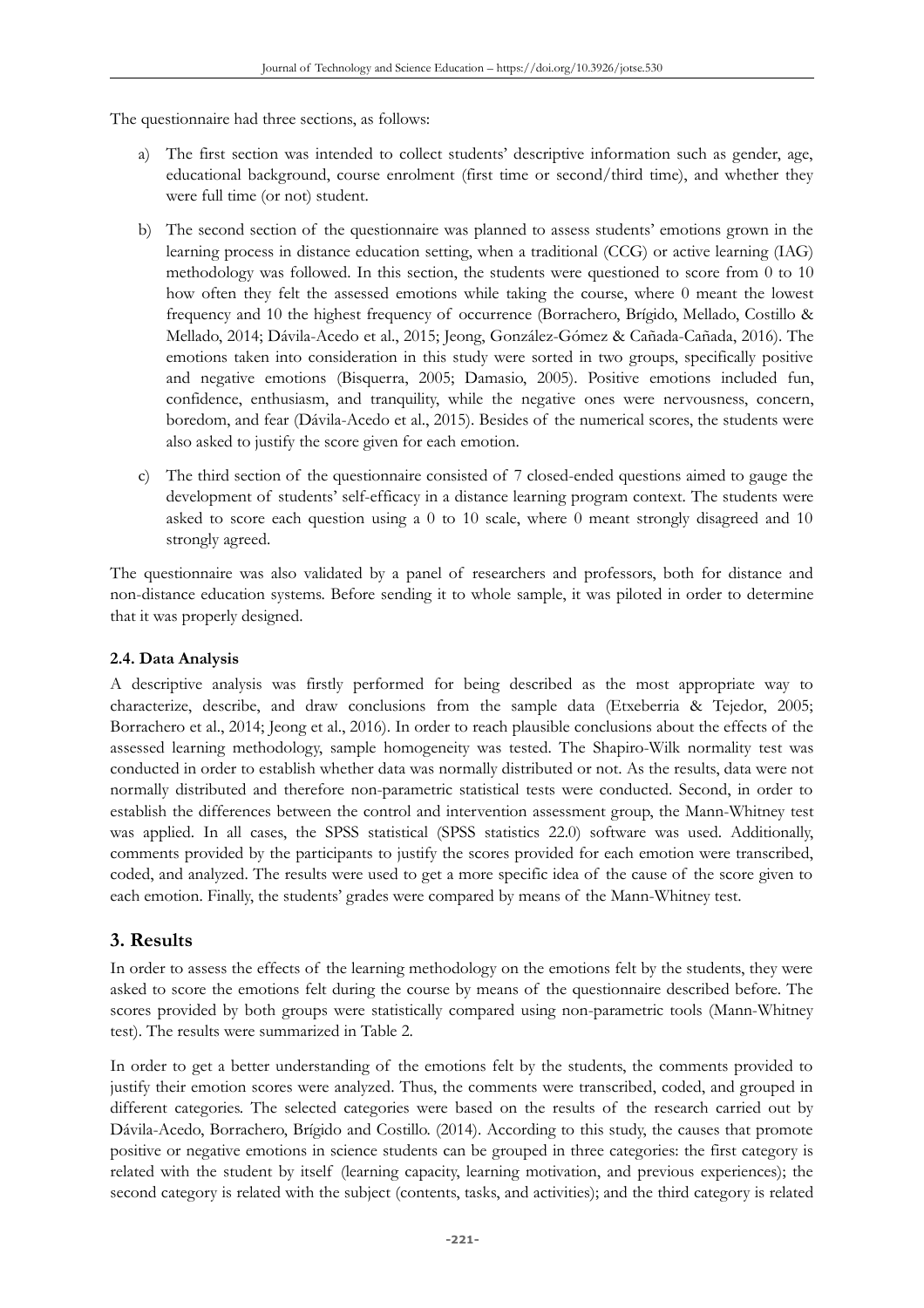The questionnaire had three sections, as follows:

- a) The first section was intended to collect students' descriptive information such as gender, age, educational background, course enrolment (first time or second/third time), and whether they were full time (or not) student.
- b) The second section of the questionnaire was planned to assess students' emotions grown in the learning process in distance education setting, when a traditional (CCG) or active learning (IAG) methodology was followed. In this section, the students were questioned to score from 0 to 10 how often they felt the assessed emotions while taking the course, where 0 meant the lowest frequency and 10 the highest frequency of occurrence (Borrachero, Brígido, Mellado, Costillo & Mellado, 2014; Dávila-Acedo et al., 2015; Jeong, González-Gómez & Cañada-Cañada, 2016). The emotions taken into consideration in this study were sorted in two groups, specifically positive and negative emotions (Bisquerra, 2005; Damasio, 2005). Positive emotions included fun, confidence, enthusiasm, and tranquility, while the negative ones were nervousness, concern, boredom, and fear (Dávila-Acedo et al., 2015). Besides of the numerical scores, the students were also asked to justify the score given for each emotion.
- c) The third section of the questionnaire consisted of 7 closed-ended questions aimed to gauge the development of students' self-efficacy in a distance learning program context. The students were asked to score each question using a 0 to 10 scale, where 0 meant strongly disagreed and 10 strongly agreed.

The questionnaire was also validated by a panel of researchers and professors, both for distance and non-distance education systems. Before sending it to whole sample, it was piloted in order to determine that it was properly designed.

## **2.4. Data Analysis**

A descriptive analysis was firstly performed for being described as the most appropriate way to characterize, describe, and draw conclusions from the sample data (Etxeberria & Tejedor, 2005; Borrachero et al., 2014; Jeong et al., 2016). In order to reach plausible conclusions about the effects of the assessed learning methodology, sample homogeneity was tested. The Shapiro-Wilk normality test was conducted in order to establish whether data was normally distributed or not. As the results, data were not normally distributed and therefore non-parametric statistical tests were conducted. Second, in order to establish the differences between the control and intervention assessment group, the Mann-Whitney test was applied. In all cases, the SPSS statistical (SPSS statistics 22.0) software was used. Additionally, comments provided by the participants to justify the scores provided for each emotion were transcribed, coded, and analyzed. The results were used to get a more specific idea of the cause of the score given to each emotion. Finally, the students' grades were compared by means of the Mann-Whitney test.

# **3. Results**

In order to assess the effects of the learning methodology on the emotions felt by the students, they were asked to score the emotions felt during the course by means of the questionnaire described before. The scores provided by both groups were statistically compared using non-parametric tools (Mann-Whitney test). The results were summarized in Table 2.

In order to get a better understanding of the emotions felt by the students, the comments provided to justify their emotion scores were analyzed. Thus, the comments were transcribed, coded, and grouped in different categories. The selected categories were based on the results of the research carried out by Dávila-Acedo, Borrachero, Brígido and Costillo. (2014). According to this study, the causes that promote positive or negative emotions in science students can be grouped in three categories: the first category is related with the student by itself (learning capacity, learning motivation, and previous experiences); the second category is related with the subject (contents, tasks, and activities); and the third category is related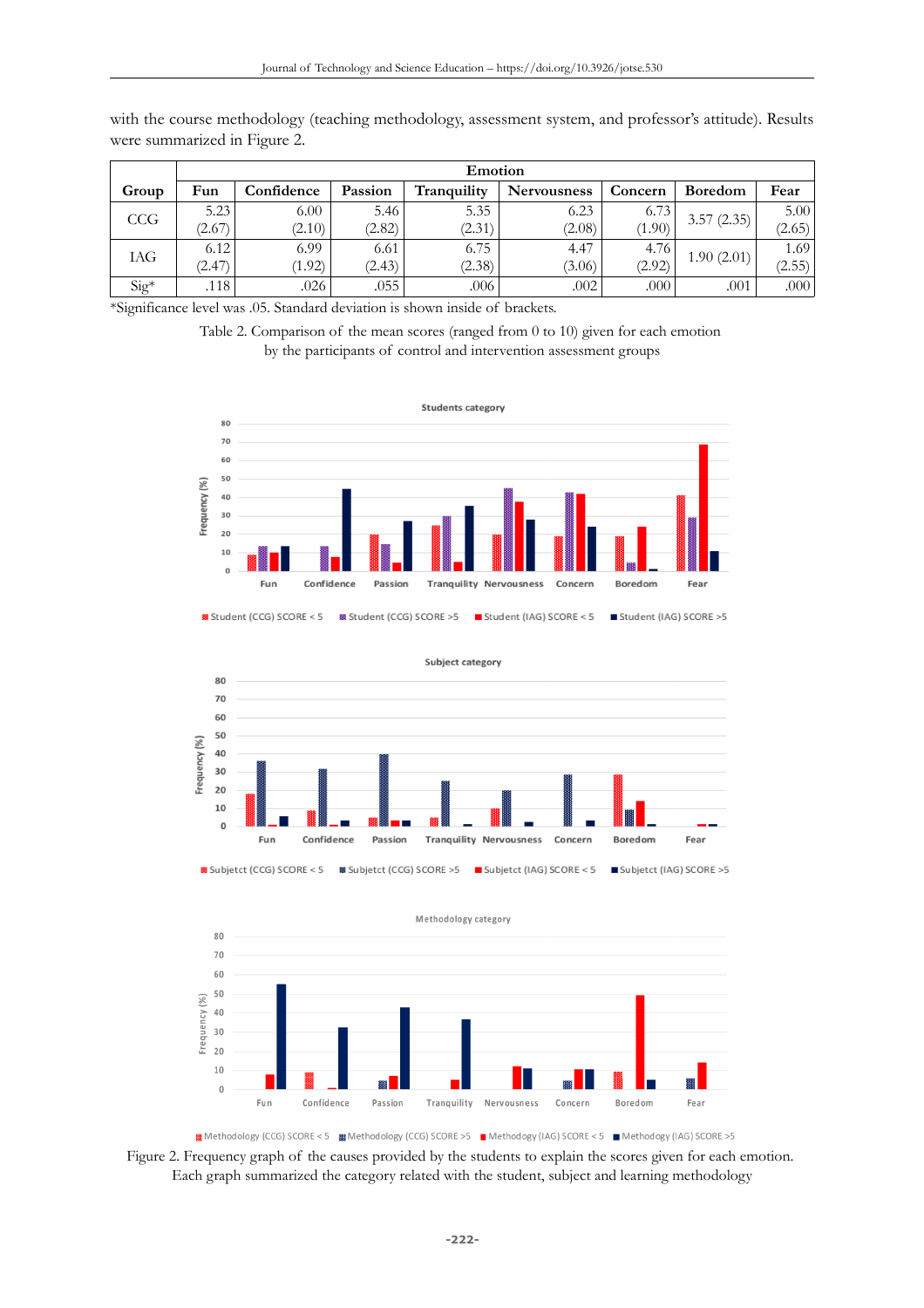|         | Emotion |            |         |             |             |         |                |        |  |
|---------|---------|------------|---------|-------------|-------------|---------|----------------|--------|--|
| Group   | Fun     | Confidence | Passion | Tranquility | Nervousness | Concern | <b>Boredom</b> | Fear   |  |
| CCG     | 5.23    | 6.00       | 5.46    | 5.35        | 6.23        | 6.73    | 3.57(2.35)     | 5.00   |  |
|         | (2.67)  | (2.10)     | (2.82)  | (2.31)      | (2.08)      | (1.90)  |                | (2.65) |  |
| IAG     | 6.12    | 6.99       | 6.61    | 6.75        | 4.47        | 4.76    | 1.90(2.01)     | 1.69   |  |
|         | (2.47)  | (1.92)     | (2.43)  | (2.38)      | (3.06)      | (2.92)  |                | (2.55) |  |
| $Sig^*$ | .118    | .026       | .055    | .006        | .002        | .000    | .001           | .000   |  |

with the course methodology (teaching methodology, assessment system, and professor's attitude). Results were summarized in Figure 2.

\*Significance level was .05. Standard deviation is shown inside of brackets.

| Table 2. Comparison of the mean scores (ranged from 0 to 10) given for each emotion |  |  |                                                                   |  |  |
|-------------------------------------------------------------------------------------|--|--|-------------------------------------------------------------------|--|--|
|                                                                                     |  |  | by the participants of control and intervention assessment groups |  |  |







■ Methodology (CCG) SCORE < 5 ■ Methodology (CCG) SCORE > 5 ■ Methodogy (IAG) SCORE < 5 ■ Methodogy (IAG) SCORE > 5

Figure 2. Frequency graph of the causes provided by the students to explain the scores given for each emotion. Each graph summarized the category related with the student, subject and learning methodology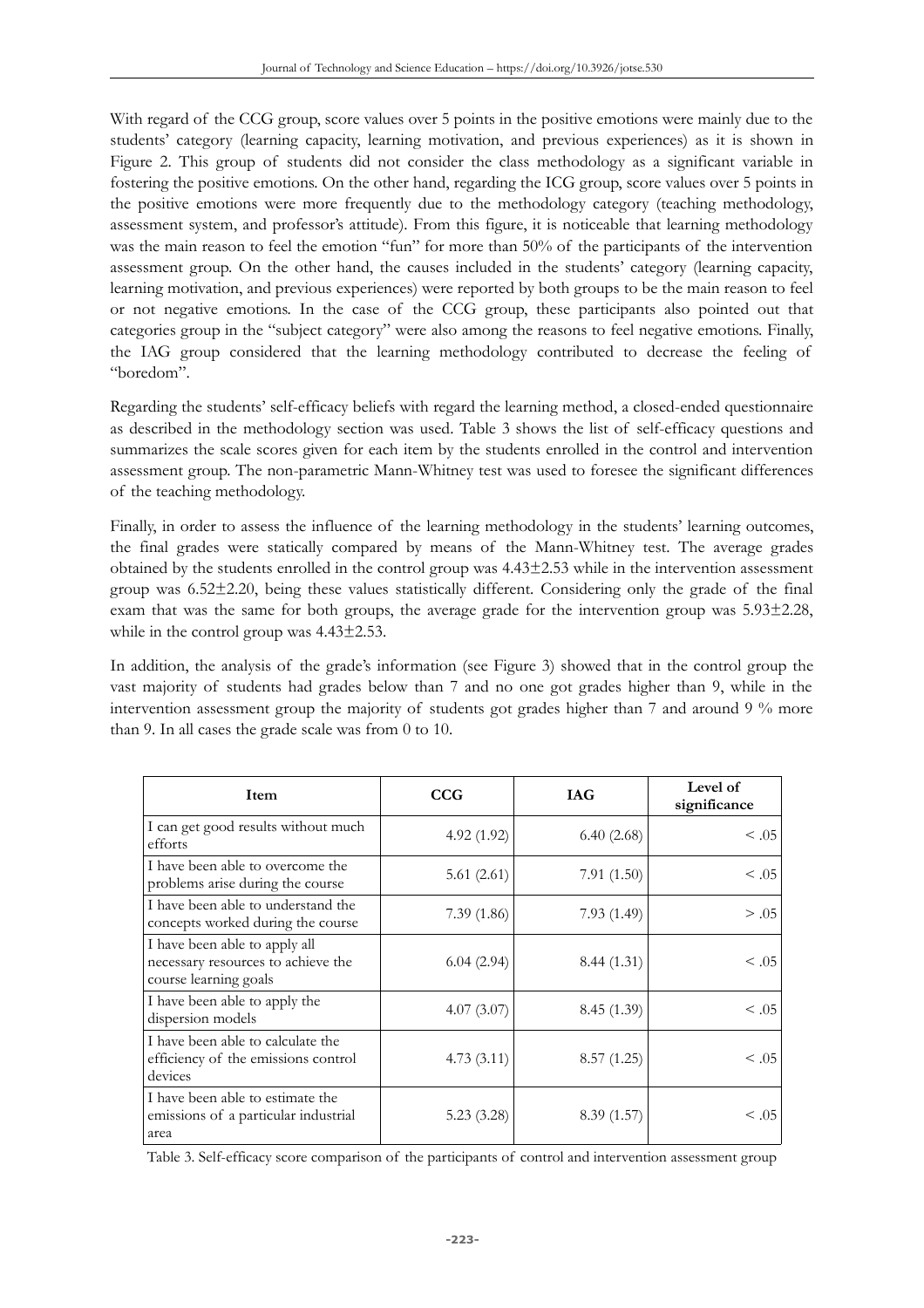With regard of the CCG group, score values over 5 points in the positive emotions were mainly due to the students' category (learning capacity, learning motivation, and previous experiences) as it is shown in Figure 2. This group of students did not consider the class methodology as a significant variable in fostering the positive emotions. On the other hand, regarding the ICG group, score values over 5 points in the positive emotions were more frequently due to the methodology category (teaching methodology, assessment system, and professor's attitude). From this figure, it is noticeable that learning methodology was the main reason to feel the emotion "fun" for more than 50% of the participants of the intervention assessment group. On the other hand, the causes included in the students' category (learning capacity, learning motivation, and previous experiences) were reported by both groups to be the main reason to feel or not negative emotions. In the case of the CCG group, these participants also pointed out that categories group in the "subject category" were also among the reasons to feel negative emotions. Finally, the IAG group considered that the learning methodology contributed to decrease the feeling of "boredom".

Regarding the students' self-efficacy beliefs with regard the learning method, a closed-ended questionnaire as described in the methodology section was used. Table 3 shows the list of self-efficacy questions and summarizes the scale scores given for each item by the students enrolled in the control and intervention assessment group. The non-parametric Mann-Whitney test was used to foresee the significant differences of the teaching methodology.

Finally, in order to assess the influence of the learning methodology in the students' learning outcomes, the final grades were statically compared by means of the Mann-Whitney test. The average grades obtained by the students enrolled in the control group was 4.43±2.53 while in the intervention assessment group was 6.52±2.20, being these values statistically different. Considering only the grade of the final exam that was the same for both groups, the average grade for the intervention group was 5.93±2.28, while in the control group was 4.43±2.53.

In addition, the analysis of the grade's information (see Figure 3) showed that in the control group the vast majority of students had grades below than 7 and no one got grades higher than 9, while in the intervention assessment group the majority of students got grades higher than 7 and around 9 % more than 9. In all cases the grade scale was from 0 to 10.

| Item                                                                                         | CCG        | <b>IAG</b>  | Level of<br>significance |
|----------------------------------------------------------------------------------------------|------------|-------------|--------------------------|
| I can get good results without much<br>efforts                                               | 4.92(1.92) | 6.40(2.68)  | $\leq .05$               |
| I have been able to overcome the<br>problems arise during the course                         | 5.61(2.61) | 7.91(1.50)  | $\leq .05$               |
| I have been able to understand the<br>concepts worked during the course                      | 7.39(1.86) | 7.93(1.49)  | > .05                    |
| I have been able to apply all<br>necessary resources to achieve the<br>course learning goals | 6.04(2.94) | 8.44(1.31)  | $\leq .05$               |
| I have been able to apply the<br>dispersion models                                           | 4.07(3.07) | 8.45 (1.39) | $\leq .05$               |
| I have been able to calculate the<br>efficiency of the emissions control<br>devices          | 4.73(3.11) | 8.57(1.25)  | $\leq .05$               |
| I have been able to estimate the<br>emissions of a particular industrial<br>area             | 5.23(3.28) | 8.39(1.57)  | $\leq .05$               |

Table 3. Self-efficacy score comparison of the participants of control and intervention assessment group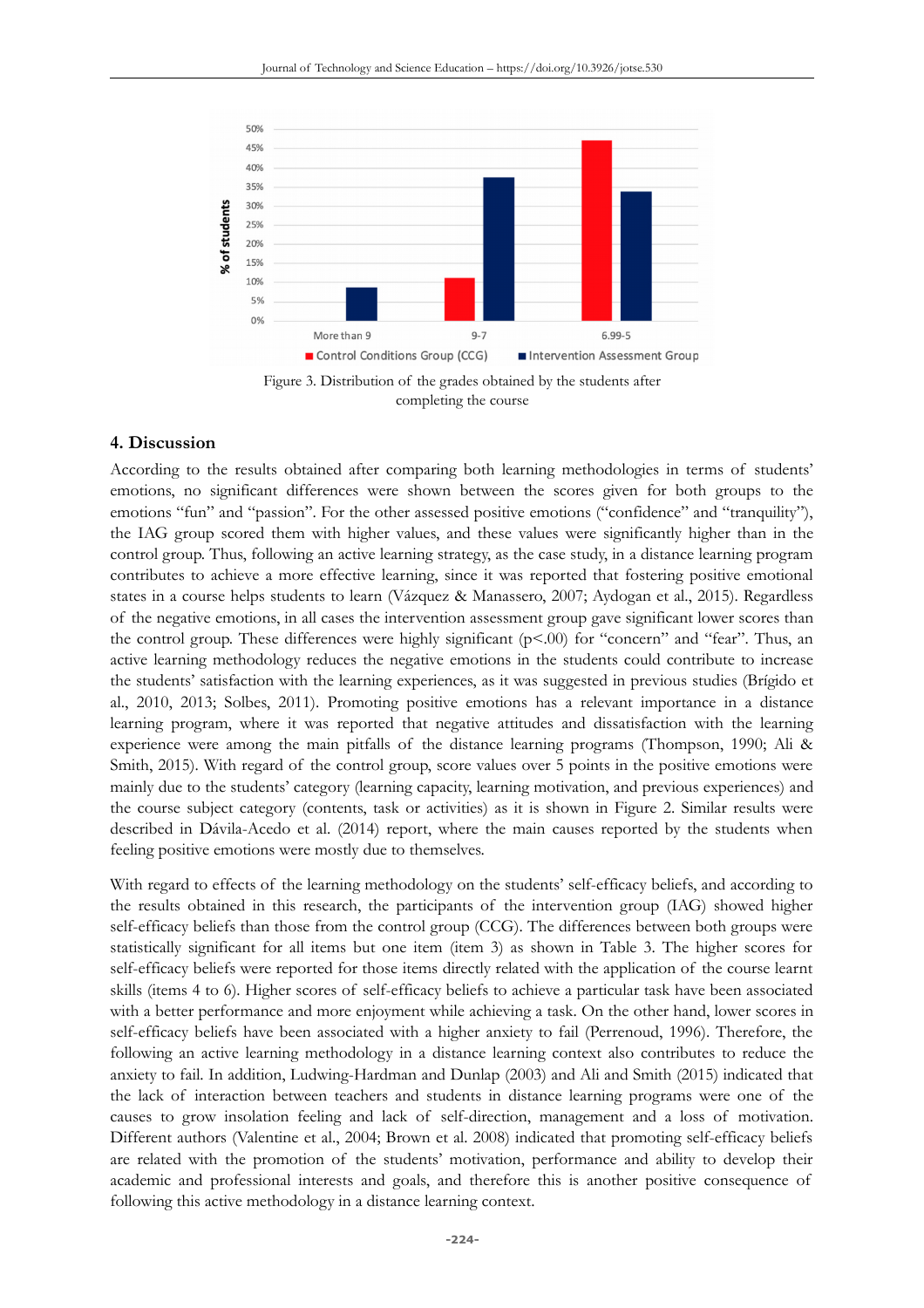



#### **4. Discussion**

According to the results obtained after comparing both learning methodologies in terms of students' emotions, no significant differences were shown between the scores given for both groups to the emotions "fun" and "passion". For the other assessed positive emotions ("confidence" and "tranquility"), the IAG group scored them with higher values, and these values were significantly higher than in the control group. Thus, following an active learning strategy, as the case study, in a distance learning program contributes to achieve a more effective learning, since it was reported that fostering positive emotional states in a course helps students to learn (Vázquez & Manassero, 2007; Aydogan et al., 2015). Regardless of the negative emotions, in all cases the intervention assessment group gave significant lower scores than the control group. These differences were highly significant  $(p<.00)$  for "concern" and "fear". Thus, an active learning methodology reduces the negative emotions in the students could contribute to increase the students' satisfaction with the learning experiences, as it was suggested in previous studies (Brígido et al., 2010, 2013; Solbes, 2011). Promoting positive emotions has a relevant importance in a distance learning program, where it was reported that negative attitudes and dissatisfaction with the learning experience were among the main pitfalls of the distance learning programs (Thompson, 1990; Ali & Smith, 2015). With regard of the control group, score values over 5 points in the positive emotions were mainly due to the students' category (learning capacity, learning motivation, and previous experiences) and the course subject category (contents, task or activities) as it is shown in Figure 2. Similar results were described in Dávila-Acedo et al. (2014) report, where the main causes reported by the students when feeling positive emotions were mostly due to themselves.

With regard to effects of the learning methodology on the students' self-efficacy beliefs, and according to the results obtained in this research, the participants of the intervention group (IAG) showed higher self-efficacy beliefs than those from the control group (CCG). The differences between both groups were statistically significant for all items but one item (item 3) as shown in Table 3. The higher scores for self-efficacy beliefs were reported for those items directly related with the application of the course learnt skills (items 4 to 6). Higher scores of self-efficacy beliefs to achieve a particular task have been associated with a better performance and more enjoyment while achieving a task. On the other hand, lower scores in self-efficacy beliefs have been associated with a higher anxiety to fail (Perrenoud, 1996). Therefore, the following an active learning methodology in a distance learning context also contributes to reduce the anxiety to fail. In addition, Ludwing-Hardman and Dunlap (2003) and Ali and Smith (2015) indicated that the lack of interaction between teachers and students in distance learning programs were one of the causes to grow insolation feeling and lack of self-direction, management and a loss of motivation. Different authors (Valentine et al., 2004; Brown et al. 2008) indicated that promoting self-efficacy beliefs are related with the promotion of the students' motivation, performance and ability to develop their academic and professional interests and goals, and therefore this is another positive consequence of following this active methodology in a distance learning context.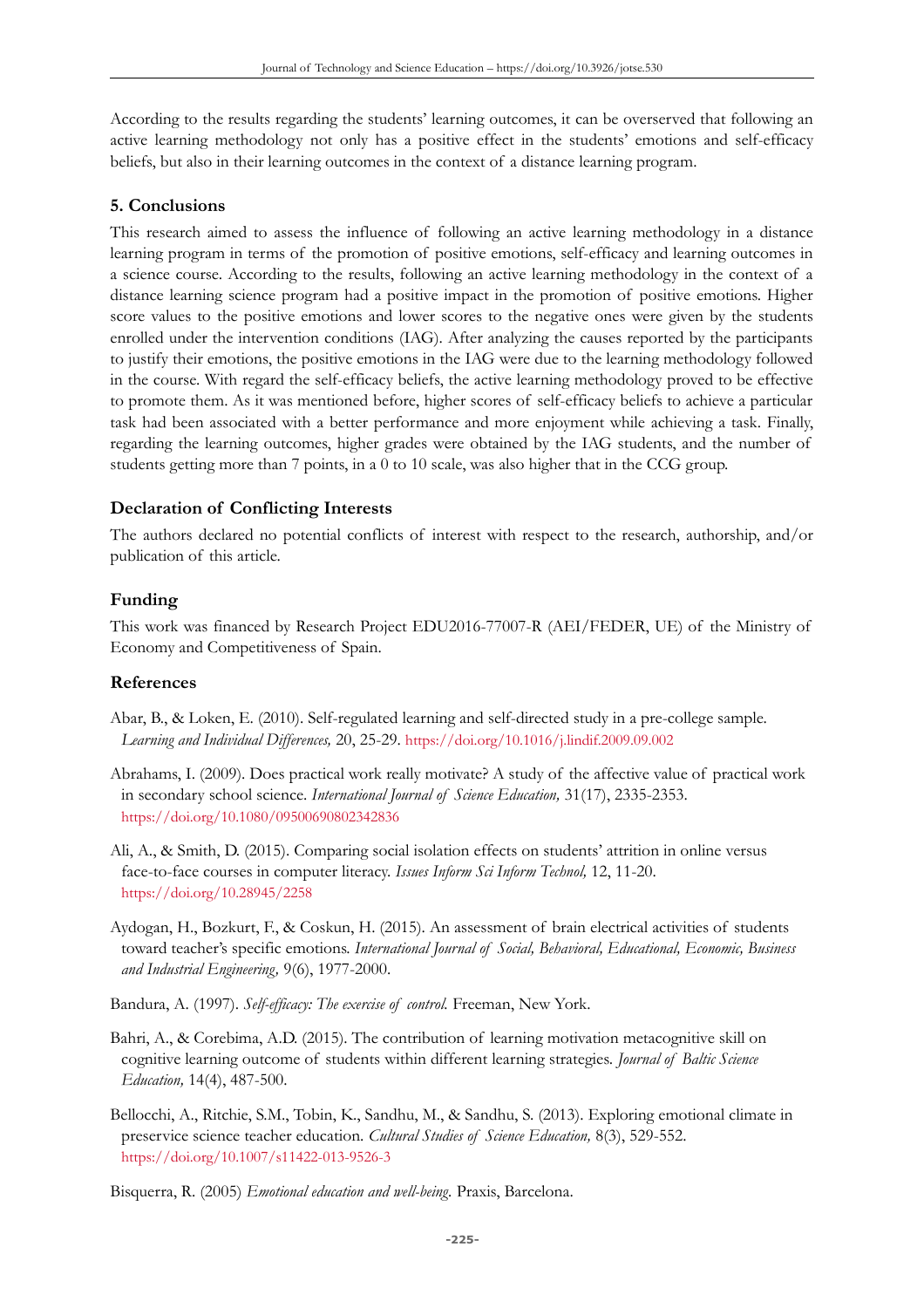According to the results regarding the students' learning outcomes, it can be overserved that following an active learning methodology not only has a positive effect in the students' emotions and self-efficacy beliefs, but also in their learning outcomes in the context of a distance learning program.

#### **5. Conclusions**

This research aimed to assess the influence of following an active learning methodology in a distance learning program in terms of the promotion of positive emotions, self-efficacy and learning outcomes in a science course. According to the results, following an active learning methodology in the context of a distance learning science program had a positive impact in the promotion of positive emotions. Higher score values to the positive emotions and lower scores to the negative ones were given by the students enrolled under the intervention conditions (IAG). After analyzing the causes reported by the participants to justify their emotions, the positive emotions in the IAG were due to the learning methodology followed in the course. With regard the self-efficacy beliefs, the active learning methodology proved to be effective to promote them. As it was mentioned before, higher scores of self-efficacy beliefs to achieve a particular task had been associated with a better performance and more enjoyment while achieving a task. Finally, regarding the learning outcomes, higher grades were obtained by the IAG students, and the number of students getting more than 7 points, in a 0 to 10 scale, was also higher that in the CCG group.

### **Declaration of Conflicting Interests**

The authors declared no potential conflicts of interest with respect to the research, authorship, and/or publication of this article.

#### **Funding**

This work was financed by Research Project EDU2016-77007-R (AEI/FEDER, UE) of the Ministry of Economy and Competitiveness of Spain.

#### **References**

- Abar, B., & Loken, E. (2010). Self-regulated learning and self-directed study in a pre-college sample. *Learning and Individual Differences,* 20, 25-29. <https://doi.org/10.1016/j.lindif.2009.09.002>
- Abrahams, I. (2009). Does practical work really motivate? A study of the affective value of practical work in secondary school science. *International Journal of Science Education,* 31(17), 2335-2353. <https://doi.org/10.1080/09500690802342836>
- Ali, A., & Smith, D. (2015). Comparing social isolation effects on students' attrition in online versus face-to-face courses in computer literacy. *Issues Inform Sci Inform Technol,* 12, 11-20. <https://doi.org/10.28945/2258>
- Aydogan, H., Bozkurt, F., & Coskun, H. (2015). An assessment of brain electrical activities of students toward teacher's specific emotions. *International Journal of Social, Behavioral, Educational, Economic, Business and Industrial Engineering,* 9(6), 1977-2000.
- Bandura, A. (1997). *Self-efficacy: The exercise of control.* Freeman, New York.
- Bahri, A., & Corebima, A.D. (2015). The contribution of learning motivation metacognitive skill on cognitive learning outcome of students within different learning strategies. *Journal of Baltic Science Education,* 14(4), 487-500.
- Bellocchi, A., Ritchie, S.M., Tobin, K., Sandhu, M., & Sandhu, S. (2013). Exploring emotional climate in preservice science teacher education. *Cultural Studies of Science Education,* 8(3), 529-552. <https://doi.org/10.1007/s11422-013-9526-3>

Bisquerra, R. (2005) *Emotional education and well-being.* Praxis, Barcelona.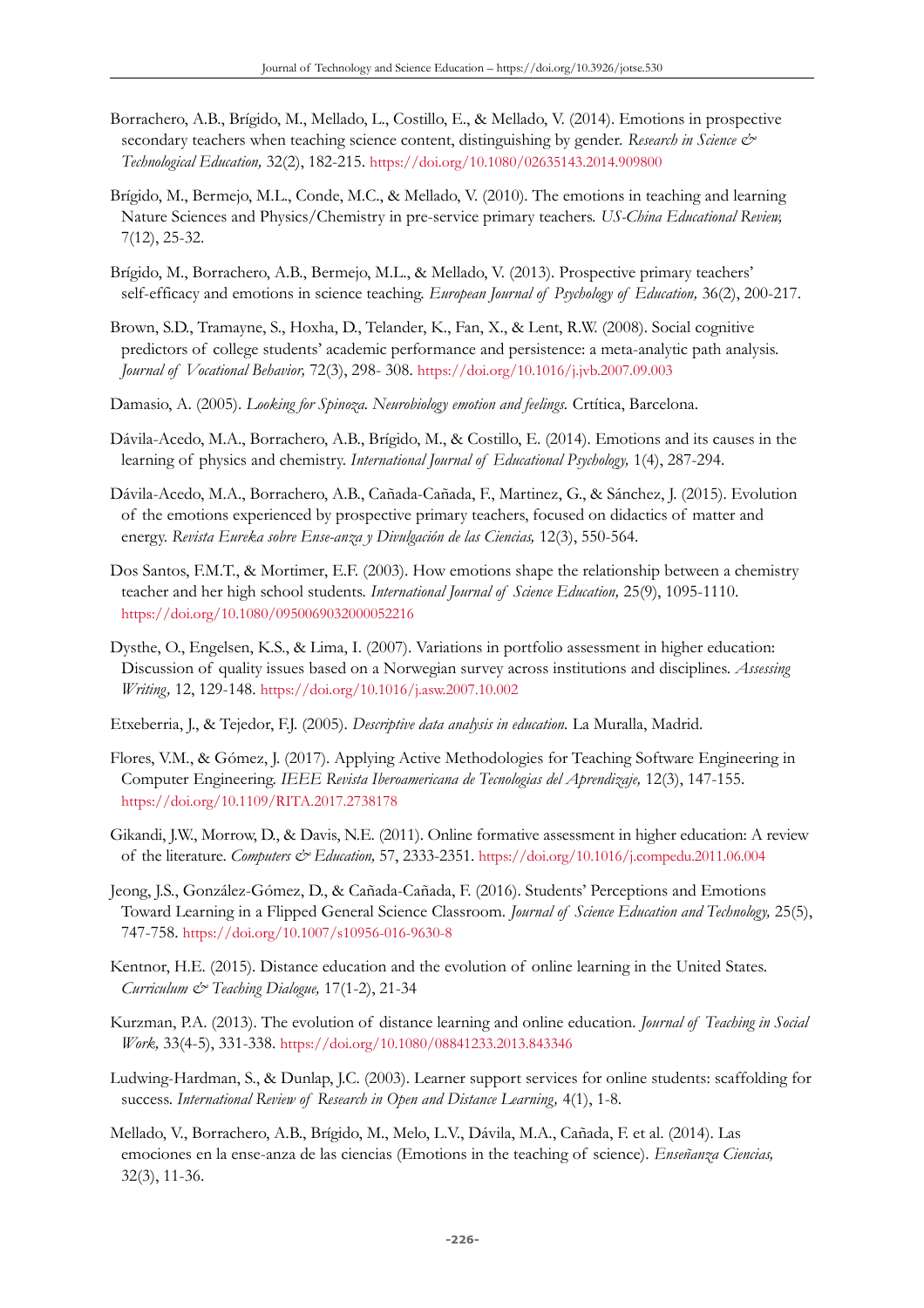- Borrachero, A.B., Brígido, M., Mellado, L., Costillo, E., & Mellado, V. (2014). Emotions in prospective secondary teachers when teaching science content, distinguishing by gender. *Research in Science & Technological Education,* 32(2), 182-215. <https://doi.org/10.1080/02635143.2014.909800>
- Brígido, M., Bermejo, M.L., Conde, M.C., & Mellado, V. (2010). The emotions in teaching and learning Nature Sciences and Physics/Chemistry in pre-service primary teachers. *US-China Educational Review,* 7(12), 25-32.
- Brígido, M., Borrachero, A.B., Bermejo, M.L., & Mellado, V. (2013). Prospective primary teachers' self-efficacy and emotions in science teaching. *European Journal of Psychology of Education,* 36(2), 200-217.
- Brown, S.D., Tramayne, S., Hoxha, D., Telander, K., Fan, X., & Lent, R.W. (2008). Social cognitive predictors of college students' academic performance and persistence: a meta-analytic path analysis. *Journal of Vocational Behavior,* 72(3), 298- 308. <https://doi.org/10.1016/j.jvb.2007.09.003>
- Damasio, A. (2005). *Looking for Spinoza. Neurobiology emotion and feelings.* Crtítica, Barcelona.
- Dávila-Acedo, M.A., Borrachero, A.B., Brígido, M., & Costillo, E. (2014). Emotions and its causes in the learning of physics and chemistry. *International Journal of Educational Psychology,* 1(4), 287-294.
- Dávila-Acedo, M.A., Borrachero, A.B., Cañada-Cañada, F., Martinez, G., & Sánchez, J. (2015). Evolution of the emotions experienced by prospective primary teachers, focused on didactics of matter and energy. *Revista Eureka sobre Ense-anza y Divulgación de las Ciencias,* 12(3), 550-564.
- Dos Santos, F.M.T., & Mortimer, E.F. (2003). How emotions shape the relationship between a chemistry teacher and her high school students. *International Journal of Science Education,* 25(9), 1095-1110. <https://doi.org/10.1080/0950069032000052216>
- Dysthe, O., Engelsen, K.S., & Lima, I. (2007). Variations in portfolio assessment in higher education: Discussion of quality issues based on a Norwegian survey across institutions and disciplines. *Assessing Writing,* 12, 129-148. <https://doi.org/10.1016/j.asw.2007.10.002>
- Etxeberria, J., & Tejedor, F.J. (2005). *Descriptive data analysis in education.* La Muralla, Madrid.
- Flores, V.M., & Gómez, J. (2017). Applying Active Methodologies for Teaching Software Engineering in Computer Engineering. *IEEE Revista Iberoamericana de Tecnologias del Aprendizaje,* 12(3), 147-155. <https://doi.org/10.1109/RITA.2017.2738178>
- Gikandi, J.W., Morrow, D., & Davis, N.E. (2011). Online formative assessment in higher education: A review of the literature. *Computers & Education,* 57, 2333-2351. <https://doi.org/10.1016/j.compedu.2011.06.004>
- Jeong, J.S., González-Gómez, D., & Cañada-Cañada, F. (2016). Students' Perceptions and Emotions Toward Learning in a Flipped General Science Classroom. *Journal of Science Education and Technology,* 25(5), 747-758. <https://doi.org/10.1007/s10956-016-9630-8>
- Kentnor, H.E. (2015). Distance education and the evolution of online learning in the United States. *Curriculum & Teaching Dialogue,* 17(1-2), 21-34
- Kurzman, P.A. (2013). The evolution of distance learning and online education. *Journal of Teaching in Social Work,* 33(4-5), 331-338. <https://doi.org/10.1080/08841233.2013.843346>
- Ludwing-Hardman, S., & Dunlap, J.C. (2003). Learner support services for online students: scaffolding for success. *International Review of Research in Open and Distance Learning,* 4(1), 1-8.
- Mellado, V., Borrachero, A.B., Brígido, M., Melo, L.V., Dávila, M.A., Cañada, F. et al. (2014). Las emociones en la ense-anza de las ciencias (Emotions in the teaching of science). *Enseñanza Ciencias,* 32(3), 11-36.